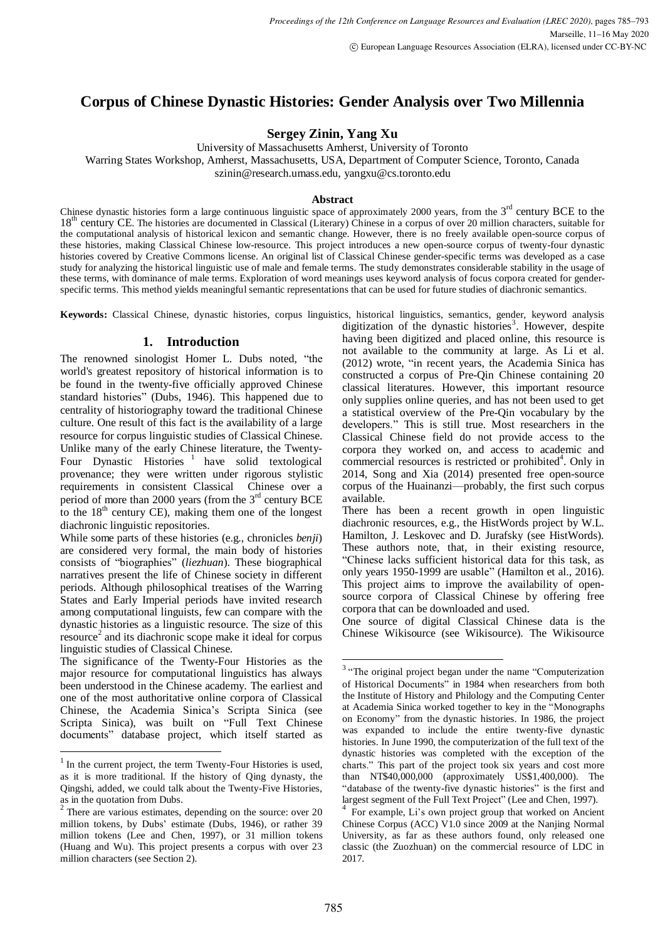# **Corpus of Chinese Dynastic Histories: Gender Analysis over Two Millennia**

**Sergey Zinin, Yang Xu**

University of Massachusetts Amherst, University of Toronto

Warring States Workshop, Amherst, Massachusetts, USA, Department of Computer Science, Toronto, Canada

szinin@research.umass.edu, yangxu@cs.toronto.edu

# **Abstract**

Chinese dynastic histories form a large continuous linguistic space of approximately 2000 years, from the  $3<sup>rd</sup>$  century BCE to the 18<sup>th</sup> century CE. The histories are documented in Classical (Literary) Chinese in a corpus of over 20 million characters, suitable for the computational analysis of historical lexicon and semantic change. However, there is no freely available open-source corpus of these histories, making Classical Chinese low-resource. This project introduces a new open-source corpus of twenty-four dynastic histories covered by Creative Commons license. An original list of Classical Chinese gender-specific terms was developed as a case study for analyzing the historical linguistic use of male and female terms. The study demonstrates considerable stability in the usage of these terms, with dominance of male terms. Exploration of word meanings uses keyword analysis of focus corpora created for genderspecific terms. This method yields meaningful semantic representations that can be used for future studies of diachronic semantics.

**Keywords:** Classical Chinese, dynastic histories, corpus linguistics, historical linguistics, semantics, gender, keyword analysis

# **1. Introduction**

The renowned sinologist Homer L. Dubs noted, "the world's greatest repository of historical information is to be found in the twenty-five officially approved Chinese standard histories" (Dubs, 1946). This happened due to centrality of historiography toward the traditional Chinese culture. One result of this fact is the availability of a large resource for corpus linguistic studies of Classical Chinese. Unlike many of the early Chinese literature, the Twenty-Four Dynastic Histories<sup>1</sup> have solid textological provenance; they were written under rigorous stylistic requirements in consistent Classical Chinese over a period of more than 2000 years (from the  $3<sup>rd</sup>$  century BCE to the  $18<sup>th</sup>$  century CE), making them one of the longest diachronic linguistic repositories.

While some parts of these histories (e.g., chronicles *benji*) are considered very formal, the main body of histories consists of "biographies" (*liezhuan*). These biographical narratives present the life of Chinese society in different periods. Although philosophical treatises of the Warring States and Early Imperial periods have invited research among computational linguists, few can compare with the dynastic histories as a linguistic resource. The size of this resource 2 and its diachronic scope make it ideal for corpus linguistic studies of Classical Chinese.

The significance of the Twenty-Four Histories as the major resource for computational linguistics has always been understood in the Chinese academy. The earliest and one of the most authoritative online corpora of Classical Chinese, the Academia Sinica's Scripta Sinica (see Scripta Sinica), was built on "Full Text Chinese documents" database project, which itself started as

-

digitization of the dynastic histories<sup>3</sup>. However, despite having been digitized and placed online, this resource is not available to the community at large. As Li et al. (2012) wrote, "in recent years, the Academia Sinica has constructed a corpus of Pre-Qin Chinese containing 20 classical literatures. However, this important resource only supplies online queries, and has not been used to get a statistical overview of the Pre-Qin vocabulary by the developers." This is still true. Most researchers in the Classical Chinese field do not provide access to the corpora they worked on, and access to academic and commercial resources is restricted or prohibited<sup>4</sup>. Only in 2014, Song and Xia (2014) presented free open-source corpus of the Huainanzi—probably, the first such corpus available.

There has been a recent growth in open linguistic diachronic resources, e.g., the HistWords project by W.L. Hamilton, J. Leskovec and D. Jurafsky (see HistWords). These authors note, that, in their existing resource, "Chinese lacks sufficient historical data for this task, as only years 1950-1999 are usable" (Hamilton et al., 2016). This project aims to improve the availability of opensource corpora of Classical Chinese by offering free corpora that can be downloaded and used.

One source of digital Classical Chinese data is the Chinese Wikisource (see Wikisource). The Wikisource

<sup>&</sup>lt;sup>1</sup> In the current project, the term Twenty-Four Histories is used, as it is more traditional. If the history of Qing dynasty, the Qingshi, added, we could talk about the Twenty-Five Histories, as in the quotation from Dubs.

 $2$  There are various estimates, depending on the source: over 20 million tokens, by Dubs' estimate (Dubs, 1946), or rather 39 million tokens (Lee and Chen, 1997), or 31 million tokens (Huang and Wu). This project presents a corpus with over 23 million characters (see Section 2).

<sup>&</sup>lt;sup>3</sup> "The original project began under the name "Computerization" of Historical Documents" in 1984 when researchers from both the Institute of History and Philology and the Computing Center at Academia Sinica worked together to key in the "Monographs on Economy" from the dynastic histories. In 1986, the project was expanded to include the entire twenty-five dynastic histories. In June 1990, the computerization of the full text of the dynastic histories was completed with the exception of the charts." This part of the project took six years and cost more than NT\$40,000,000 (approximately US\$1,400,000). The "database of the twenty-five dynastic histories" is the first and largest segment of the Full Text Project" (Lee and Chen, 1997).

<sup>&</sup>lt;sup>4</sup> For example, Li's own project group that worked on Ancient Chinese Corpus (ACC) V1.0 since 2009 at the Nanjing Normal University, as far as these authors found, only released one classic (the Zuozhuan) on the commercial resource of LDC in 2017.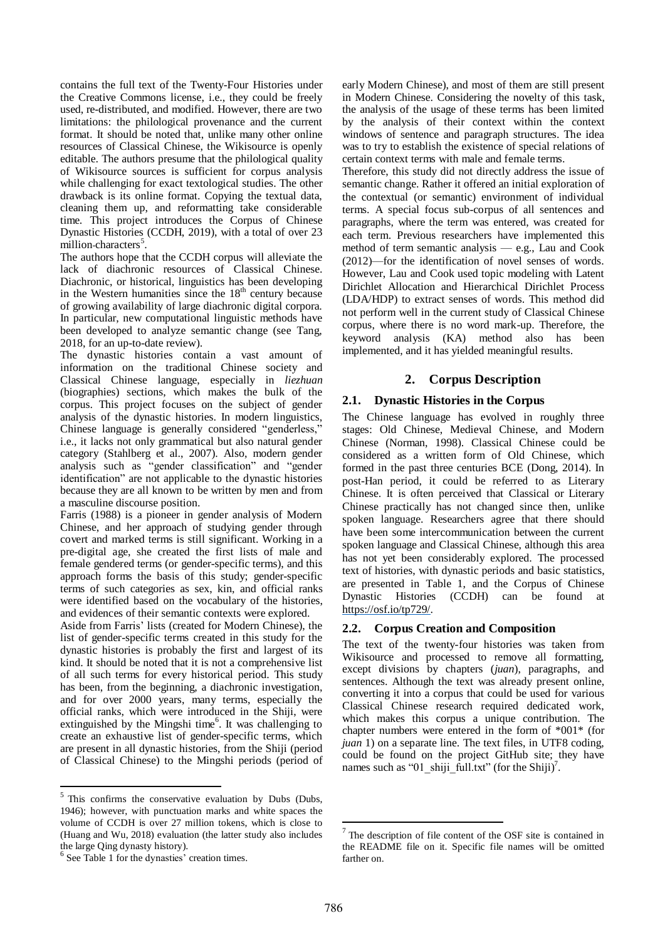contains the full text of the Twenty-Four Histories under the Creative Commons license, i.e., they could be freely used, re-distributed, and modified. However, there are two limitations: the philological provenance and the current format. It should be noted that, unlike many other online resources of Classical Chinese, the Wikisource is openly editable. The authors presume that the philological quality of Wikisource sources is sufficient for corpus analysis while challenging for exact textological studies. The other drawback is its online format. Copying the textual data, cleaning them up, and reformatting take considerable time. This project introduces the Corpus of Chinese Dynastic Histories (CCDH, 2019), with a total of over 23 million-characters<sup>5</sup>.

The authors hope that the CCDH corpus will alleviate the lack of diachronic resources of Classical Chinese. Diachronic, or historical, linguistics has been developing in the Western humanities since the  $18<sup>th</sup>$  century because of growing availability of large diachronic digital corpora. In particular, new computational linguistic methods have been developed to analyze semantic change (see Tang, 2018, for an up-to-date review).

The dynastic histories contain a vast amount of information on the traditional Chinese society and Classical Chinese language, especially in *liezhuan* (biographies) sections, which makes the bulk of the corpus. This project focuses on the subject of gender analysis of the dynastic histories. In modern linguistics, Chinese language is generally considered "genderless," i.e., it lacks not only grammatical but also natural gender category (Stahlberg et al., 2007). Also, modern gender analysis such as "gender classification" and "gender identification" are not applicable to the dynastic histories because they are all known to be written by men and from a masculine discourse position.

Farris (1988) is a pioneer in gender analysis of Modern Chinese, and her approach of studying gender through covert and marked terms is still significant. Working in a pre-digital age, she created the first lists of male and female gendered terms (or gender-specific terms), and this approach forms the basis of this study; gender-specific terms of such categories as sex, kin, and official ranks were identified based on the vocabulary of the histories, and evidences of their semantic contexts were explored.

Aside from Farris' lists (created for Modern Chinese), the list of gender-specific terms created in this study for the dynastic histories is probably the first and largest of its kind. It should be noted that it is not a comprehensive list of all such terms for every historical period. This study has been, from the beginning, a diachronic investigation, and for over 2000 years, many terms, especially the official ranks, which were introduced in the Shiji, were extinguished by the Mingshi time<sup>6</sup>. It was challenging to create an exhaustive list of gender-specific terms, which are present in all dynastic histories, from the Shiji (period of Classical Chinese) to the Mingshi periods (period of early Modern Chinese), and most of them are still present in Modern Chinese. Considering the novelty of this task, the analysis of the usage of these terms has been limited by the analysis of their context within the context windows of sentence and paragraph structures. The idea was to try to establish the existence of special relations of certain context terms with male and female terms.

Therefore, this study did not directly address the issue of semantic change. Rather it offered an initial exploration of the contextual (or semantic) environment of individual terms. A special focus sub-corpus of all sentences and paragraphs, where the term was entered, was created for each term. Previous researchers have implemented this method of term semantic analysis — e.g., Lau and Cook (2012)—for the identification of novel senses of words. However, Lau and Cook used topic modeling with Latent Dirichlet Allocation and Hierarchical Dirichlet Process (LDA/HDP) to extract senses of words. This method did not perform well in the current study of Classical Chinese corpus, where there is no word mark-up. Therefore, the keyword analysis (KA) method also has been implemented, and it has yielded meaningful results.

# **2. Corpus Description**

# **2.1. Dynastic Histories in the Corpus**

The Chinese language has evolved in roughly three stages: Old Chinese, Medieval Chinese, and Modern Chinese (Norman, 1998). Classical Chinese could be considered as a written form of Old Chinese, which formed in the past three centuries BCE (Dong, 2014). In post-Han period, it could be referred to as Literary Chinese. It is often perceived that Classical or Literary Chinese practically has not changed since then, unlike spoken language. Researchers agree that there should have been some intercommunication between the current spoken language and Classical Chinese, although this area has not yet been considerably explored. The processed text of histories, with dynastic periods and basic statistics, are presented in Table 1, and the Corpus of Chinese Dynastic Histories (CCDH) can be found at [https://osf.io/tp729/.](https://osf.io/tp729/)

# **2.2. Corpus Creation and Composition**

The text of the twenty-four histories was taken from Wikisource and processed to remove all formatting, except divisions by chapters (*juan*), paragraphs, and sentences. Although the text was already present online, converting it into a corpus that could be used for various Classical Chinese research required dedicated work, which makes this corpus a unique contribution. The chapter numbers were entered in the form of \*001\* (for *juan* 1) on a separate line. The text files, in UTF8 coding, could be found on the project GitHub site; they have names such as "01\_shiji\_full.txt" (for the Shiji)<sup>7</sup>.

-

<sup>&</sup>lt;sup>5</sup>This confirms the conservative evaluation by Dubs (Dubs, 1946); however, with punctuation marks and white spaces the volume of CCDH is over 27 million tokens, which is close to (Huang and Wu, 2018) evaluation (the latter study also includes the large Qing dynasty history).

<sup>&</sup>lt;sup>6</sup> See Table 1 for the dynasties' creation times.

 $7$  The description of file content of the OSF site is contained in the README file on it. Specific file names will be omitted farther on.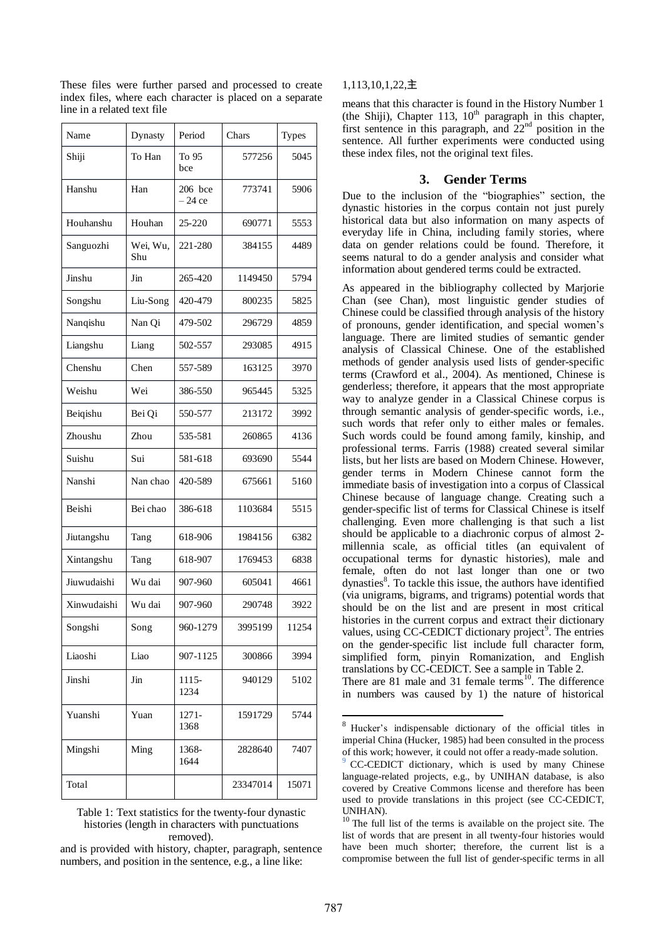| Name        | Dynasty               | Period              | Chars    | <b>Types</b> |
|-------------|-----------------------|---------------------|----------|--------------|
| Shiji       | To Han                | To 95<br>bce        | 577256   | 5045         |
| Hanshu      | Han                   | 206 bce<br>$-24$ ce | 773741   | 5906         |
| Houhanshu   | Houhan                | 25-220              | 690771   | 5553         |
| Sanguozhi   | Wei, Wu,<br>Shu       | 221-280             | 384155   | 4489         |
| Jinshu      | Jin                   | 265-420             | 1149450  | 5794         |
| Songshu     | Liu-Song              | 420-479             | 800235   | 5825         |
| Nanqishu    | Nan Qi                | 479-502             | 296729   | 4859         |
| Liangshu    | Liang                 | 502-557             | 293085   | 4915         |
| Chenshu     | Chen                  | 557-589             | 163125   | 3970         |
| Weishu      | Wei                   | 386-550             | 965445   | 5325         |
| Beiqishu    | Bei Qi                | 550-577             | 213172   | 3992         |
| Zhoushu     | Zhou                  | 535-581             | 260865   | 4136         |
| Suishu      | Sui                   | 581-618             | 693690   | 5544         |
| Nanshi      | Nan chao              | 420-589             | 675661   | 5160         |
| Beishi      | Bei chao              | 386-618             | 1103684  | 5515         |
| Jiutangshu  | Tang                  | 618-906             | 1984156  | 6382         |
| Xintangshu  | Tang                  | 618-907             | 1769453  | 6838         |
| Jiuwudaishi | Wu dai                | 907-960             | 605041   | 4661         |
| Xinwudaishi | Wu dai                | 907-960             | 290748   | 3922         |
| Songshi     | Song                  | 960-1279            | 3995199  | 11254        |
| Liaoshi     | Liao                  | 907-1125            | 300866   | 3994         |
| Jinshi      | $\mathop{\text{Jin}}$ | 1115-<br>1234       | 940129   | 5102         |
| Yuanshi     | Yuan                  | 1271-<br>1368       | 1591729  | 5744         |
| Mingshi     | Ming                  | 1368-<br>1644       | 2828640  | 7407         |
| Total       |                       |                     | 23347014 | 15071        |

These files were further parsed and processed to create index files, where each character is placed on a separate line in a related text file

Table 1: Text statistics for the twenty-four dynastic histories (length in characters with punctuations removed).

and is provided with history, chapter, paragraph, sentence numbers, and position in the sentence, e.g., a line like:

#### 1,113,10,1,22,主

means that this character is found in the History Number 1 (the Shiji), Chapter 113,  $10<sup>th</sup>$  paragraph in this chapter, first sentence in this paragraph, and 22nd position in the sentence. All further experiments were conducted using these index files, not the original text files.

#### **3. Gender Terms**

Due to the inclusion of the "biographies" section, the dynastic histories in the corpus contain not just purely historical data but also information on many aspects of everyday life in China, including family stories, where data on gender relations could be found. Therefore, it seems natural to do a gender analysis and consider what information about gendered terms could be extracted.

As appeared in the bibliography collected by Marjorie Chan (see Chan), most linguistic gender studies of Chinese could be classified through analysis of the history of pronouns, gender identification, and special women's language. There are limited studies of semantic gender analysis of Classical Chinese. One of the established methods of gender analysis used lists of gender-specific terms (Crawford et al., 2004). As mentioned, Chinese is genderless; therefore, it appears that the most appropriate way to analyze gender in a Classical Chinese corpus is through semantic analysis of gender-specific words, i.e., such words that refer only to either males or females. Such words could be found among family, kinship, and professional terms. Farris (1988) created several similar lists, but her lists are based on Modern Chinese. However, gender terms in Modern Chinese cannot form the immediate basis of investigation into a corpus of Classical Chinese because of language change. Creating such a gender-specific list of terms for Classical Chinese is itself challenging. Even more challenging is that such a list should be applicable to a diachronic corpus of almost 2 millennia scale, as official titles (an equivalent of occupational terms for dynastic histories), male and female, often do not last longer than one or two dynasties<sup>8</sup>. To tackle this issue, the authors have identified (via unigrams, bigrams, and trigrams) potential words that should be on the list and are present in most critical histories in the current corpus and extract their dictionary values, using CC-CEDICT dictionary project<sup>9</sup>. The entries on the gender-specific list include full character form, simplified form, pinyin Romanization, and English translations by CC-CEDICT. See a sample in Table 2. There are  $81$  male and  $31$  female terms<sup>10</sup>. The difference in numbers was caused by 1) the nature of historical

<u>.</u>

<sup>8</sup> Hucker's indispensable dictionary of the official titles in imperial China (Hucker, 1985) had been consulted in the process of this work; however, it could not offer a ready-made solution.

<sup>9</sup> CC-CEDICT dictionary, which is used by many Chinese language-related projects, e.g., by UNIHAN database, is also covered by Creative Commons license and therefore has been used to provide translations in this project (see CC-CEDICT, UNIHAN).

 $10$  The full list of the terms is available on the project site. The list of words that are present in all twenty-four histories would have been much shorter; therefore, the current list is a compromise between the full list of gender-specific terms in all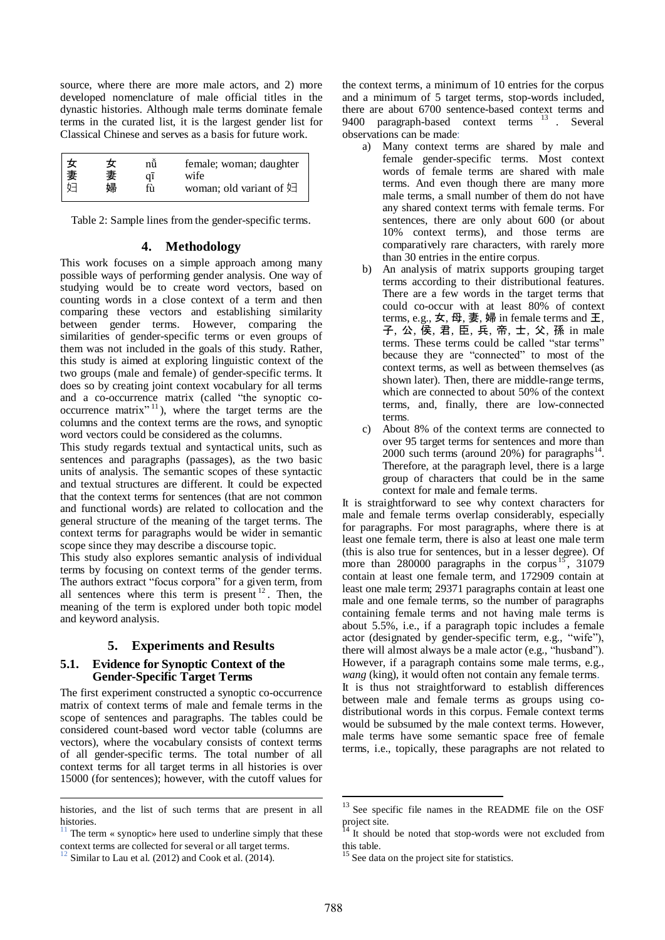source, where there are more male actors, and 2) more developed nomenclature of male official titles in the dynastic histories. Although male terms dominate female terms in the curated list, it is the largest gender list for Classical Chinese and serves as a basis for future work.

| 女<br> 妻<br>$h\Box$ | nů<br>妻<br>$q\bar{1}$<br>婦<br>fù | female; woman; daughter<br>wife<br>woman; old variant of $\overline{\mathfrak{L}}$ |
|--------------------|----------------------------------|------------------------------------------------------------------------------------|
|--------------------|----------------------------------|------------------------------------------------------------------------------------|

Table 2: Sample lines from the gender-specific terms.

# **4. Methodology**

This work focuses on a simple approach among many possible ways of performing gender analysis. One way of studying would be to create word vectors, based on counting words in a close context of a term and then comparing these vectors and establishing similarity between gender terms. However, comparing the similarities of gender-specific terms or even groups of them was not included in the goals of this study. Rather, this study is aimed at exploring linguistic context of the two groups (male and female) of gender-specific terms. It does so by creating joint context vocabulary for all terms and a co-occurrence matrix (called "the synoptic cooccurrence matrix $^{\prime\prime}$ <sup>11</sup>), where the target terms are the columns and the context terms are the rows, and synoptic word vectors could be considered as the columns.

This study regards textual and syntactical units, such as sentences and paragraphs (passages), as the two basic units of analysis. The semantic scopes of these syntactic and textual structures are different. It could be expected that the context terms for sentences (that are not common and functional words) are related to collocation and the general structure of the meaning of the target terms. The context terms for paragraphs would be wider in semantic scope since they may describe a discourse topic.

This study also explores semantic analysis of individual terms by focusing on context terms of the gender terms. The authors extract "focus corpora" for a given term, from all sentences where this term is present  $12$ . Then, the meaning of the term is explored under both topic model and keyword analysis.

# **5. Experiments and Results**

# **5.1. Evidence for Synoptic Context of the Gender-Specific Target Terms**

The first experiment constructed a synoptic co-occurrence matrix of context terms of male and female terms in the scope of sentences and paragraphs. The tables could be considered count-based word vector table (columns are vectors), where the vocabulary consists of context terms of all gender-specific terms. The total number of all context terms for all target terms in all histories is over 15000 (for sentences); however, with the cutoff values for

<u>.</u>

the context terms, a minimum of 10 entries for the corpus and a minimum of 5 target terms, stop-words included, there are about 6700 sentence-based context terms and 9400 paragraph-based context terms <sup>13</sup> . Several observations can be made:

- a) Many context terms are shared by male and female gender-specific terms. Most context words of female terms are shared with male terms. And even though there are many more male terms, a small number of them do not have any shared context terms with female terms. For sentences, there are only about 600 (or about 10% context terms), and those terms are comparatively rare characters, with rarely more than 30 entries in the entire corpus.
- b) An analysis of matrix supports grouping target terms according to their distributional features. There are a few words in the target terms that could co-occur with at least 80% of context terms, e.g.,  $\angle$ , 母, 妻, 婦 in female terms and 王, 子, 公, 侯, 君, 臣, 兵, 帝, 士, 父, 孫 in male terms. These terms could be called "star terms" because they are "connected" to most of the context terms, as well as between themselves (as shown later). Then, there are middle-range terms, which are connected to about 50% of the context terms, and, finally, there are low-connected terms.
- c) About 8% of the context terms are connected to over 95 target terms for sentences and more than 2000 such terms (around 20%) for paragraphs<sup>14</sup>. Therefore, at the paragraph level, there is a large group of characters that could be in the same context for male and female terms.

It is straightforward to see why context characters for male and female terms overlap considerably, especially for paragraphs. For most paragraphs, where there is at least one female term, there is also at least one male term (this is also true for sentences, but in a lesser degree). Of more than 280000 paragraphs in the corpus<sup>15</sup>, 31079 contain at least one female term, and 172909 contain at least one male term; 29371 paragraphs contain at least one male and one female terms, so the number of paragraphs containing female terms and not having male terms is about 5.5%, i.e., if a paragraph topic includes a female actor (designated by gender-specific term, e.g., "wife"), there will almost always be a male actor (e.g., "husband"). However, if a paragraph contains some male terms, e.g., *wang* (king), it would often not contain any female terms. It is thus not straightforward to establish differences between male and female terms as groups using codistributional words in this corpus. Female context terms would be subsumed by the male context terms. However, male terms have some semantic space free of female terms, i.e., topically, these paragraphs are not related to

<u>.</u>

histories, and the list of such terms that are present in all histories.

The term « synoptic» here used to underline simply that these context terms are collected for several or all target terms.

 $\frac{12}{2}$  Similar to Lau et al. (2012) and Cook et al. (2014).

 $13$  See specific file names in the README file on the OSF project site.

It should be noted that stop-words were not excluded from this table.

<sup>&</sup>lt;sup>15</sup> See data on the project site for statistics.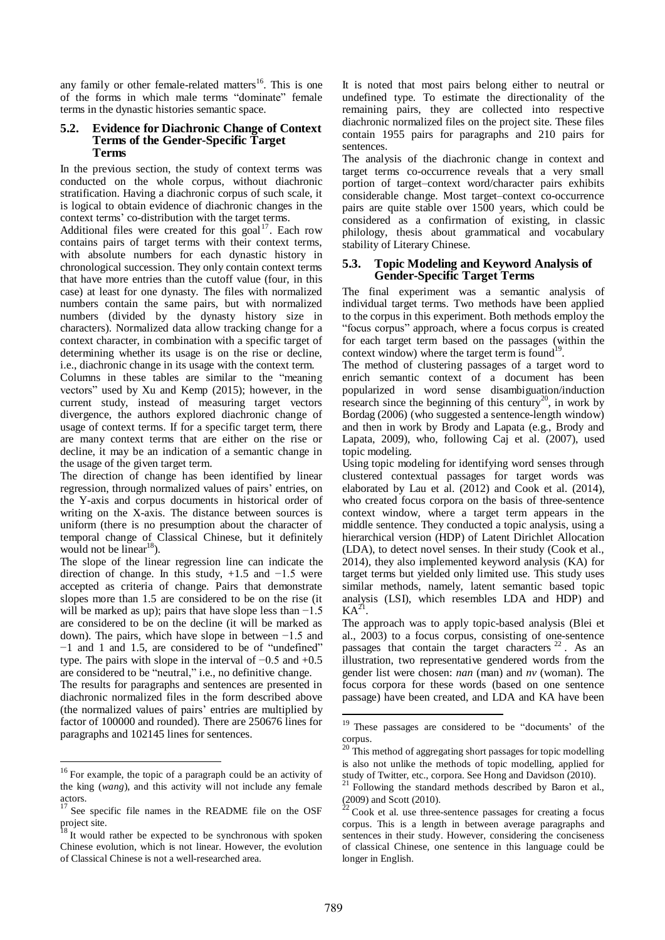any family or other female-related matters<sup>16</sup>. This is one of the forms in which male terms "dominate" female terms in the dynastic histories semantic space.

#### **5.2. Evidence for Diachronic Change of Context Terms of the Gender-Specific Target Terms**

In the previous section, the study of context terms was conducted on the whole corpus, without diachronic stratification. Having a diachronic corpus of such scale, it is logical to obtain evidence of diachronic changes in the context terms' co-distribution with the target terms.

Additional files were created for this goal $17$ . Each row contains pairs of target terms with their context terms, with absolute numbers for each dynastic history in chronological succession. They only contain context terms that have more entries than the cutoff value (four, in this case) at least for one dynasty. The files with normalized numbers contain the same pairs, but with normalized numbers (divided by the dynasty history size in characters). Normalized data allow tracking change for a context character, in combination with a specific target of determining whether its usage is on the rise or decline, i.e., diachronic change in its usage with the context term.

Columns in these tables are similar to the "meaning vectors" used by Xu and Kemp (2015); however, in the current study, instead of measuring target vectors divergence, the authors explored diachronic change of usage of context terms. If for a specific target term, there are many context terms that are either on the rise or decline, it may be an indication of a semantic change in the usage of the given target term.

The direction of change has been identified by linear regression, through normalized values of pairs' entries, on the Y-axis and corpus documents in historical order of writing on the X-axis. The distance between sources is uniform (there is no presumption about the character of temporal change of Classical Chinese, but it definitely would not be  $linear^{18}$ ).

The slope of the linear regression line can indicate the direction of change. In this study,  $+1.5$  and  $-1.5$  were accepted as criteria of change. Pairs that demonstrate slopes more than 1.5 are considered to be on the rise (it will be marked as up); pairs that have slope less than −1.5 are considered to be on the decline (it will be marked as down). The pairs, which have slope in between −1.5 and −1 and 1 and 1.5, are considered to be of "undefined" type. The pairs with slope in the interval of −0.5 and +0.5 are considered to be "neutral," i.e., no definitive change.

The results for paragraphs and sentences are presented in diachronic normalized files in the form described above (the normalized values of pairs' entries are multiplied by factor of 100000 and rounded). There are 250676 lines for paragraphs and 102145 lines for sentences.

-

It is noted that most pairs belong either to neutral or undefined type. To estimate the directionality of the remaining pairs, they are collected into respective diachronic normalized files on the project site. These files contain 1955 pairs for paragraphs and 210 pairs for sentences.

The analysis of the diachronic change in context and target terms co-occurrence reveals that a very small portion of target–context word/character pairs exhibits considerable change. Most target–context co-occurrence pairs are quite stable over 1500 years, which could be considered as a confirmation of existing, in classic philology, thesis about grammatical and vocabulary stability of Literary Chinese.

# **5.3. Topic Modeling and Keyword Analysis of Gender-Specific Target Terms**

The final experiment was a semantic analysis of individual target terms. Two methods have been applied to the corpus in this experiment. Both methods employ the "focus corpus" approach, where a focus corpus is created for each target term based on the passages (within the context window) where the target term is found<sup>19</sup> .

The method of clustering passages of a target word to enrich semantic context of a document has been popularized in word sense disambiguation/induction research since the beginning of this century<sup>20</sup>, in work by Bordag (2006) (who suggested a sentence-length window) and then in work by Brody and Lapata (e.g., Brody and Lapata, 2009), who, following Caj et al. (2007), used topic modeling.

Using topic modeling for identifying word senses through clustered contextual passages for target words was elaborated by Lau et al. (2012) and Cook et al. (2014), who created focus corpora on the basis of three-sentence context window, where a target term appears in the middle sentence. They conducted a topic analysis, using a hierarchical version (HDP) of Latent Dirichlet Allocation (LDA), to detect novel senses. In their study (Cook et al., 2014), they also implemented keyword analysis (KA) for target terms but yielded only limited use. This study uses similar methods, namely, latent semantic based topic analysis (LSI), which resembles LDA and HDP) and  $\mathbf{K} \mathbf{A}^{21}$ .

The approach was to apply topic-based analysis (Blei et al., 2003) to a focus corpus, consisting of one-sentence passages that contain the target characters  $22$ . As an illustration, two representative gendered words from the gender list were chosen: *nan* (man) and *nv* (woman). The focus corpora for these words (based on one sentence passage) have been created, and LDA and KA have been

<u>.</u>

<sup>&</sup>lt;sup>16</sup> For example, the topic of a paragraph could be an activity of the king (*wang*), and this activity will not include any female actors.

 $17$  See specific file names in the README file on the OSF project site.

<sup>&</sup>lt;sup>18</sup> It would rather be expected to be synchronous with spoken Chinese evolution, which is not linear. However, the evolution of Classical Chinese is not a well-researched area.

<sup>&</sup>lt;sup>19</sup> These passages are considered to be "documents' of the corpus.

<sup>&</sup>lt;sup>20</sup> This method of aggregating short passages for topic modelling is also not unlike the methods of topic modelling, applied for study of Twitter, etc., corpora. See Hong and Davidson (2010).

<sup>&</sup>lt;sup>21</sup> Following the standard methods described by Baron et al., (2009) and Scott (2010).

 $22$  Cook et al. use three-sentence passages for creating a focus corpus. This is a length in between average paragraphs and sentences in their study. However, considering the conciseness of classical Chinese, one sentence in this language could be longer in English.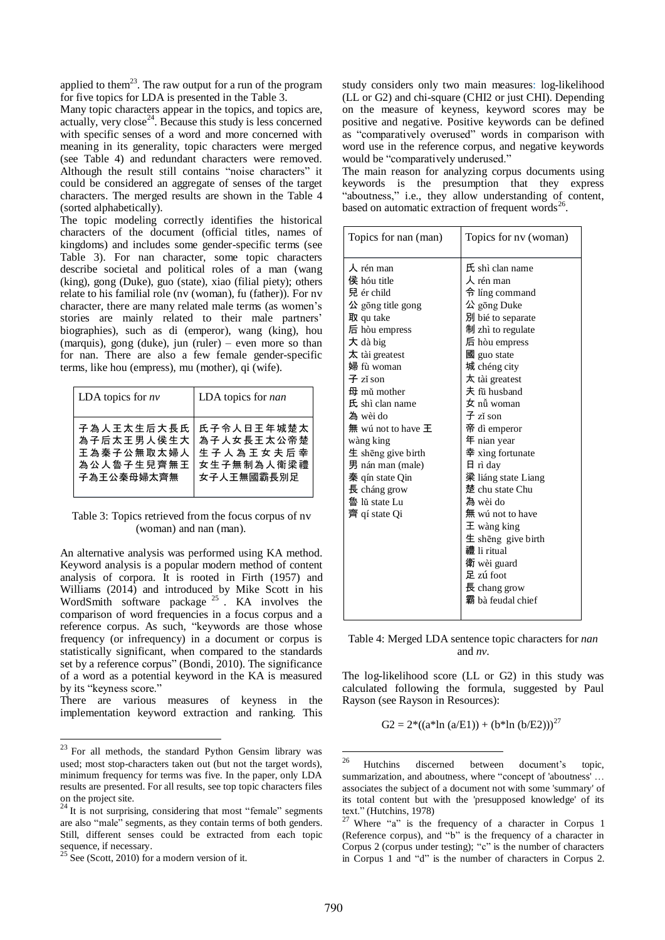applied to them<sup>23</sup>. The raw output for a run of the program for five topics for LDA is presented in the Table 3.

Many topic characters appear in the topics, and topics are, actually, very close<sup>24</sup>. Because this study is less concerned with specific senses of a word and more concerned with meaning in its generality, topic characters were merged (see Table 4) and redundant characters were removed. Although the result still contains "noise characters" it could be considered an aggregate of senses of the target characters. The merged results are shown in the Table 4 (sorted alphabetically).

The topic modeling correctly identifies the historical characters of the document (official titles, names of kingdoms) and includes some gender-specific terms (see Table 3). For nan character, some topic characters describe societal and political roles of a man (wang (king), gong (Duke), guo (state), xiao (filial piety); others relate to his familial role (nv (woman), fu (father)). For nv character, there are many related male terms (as women's stories are mainly related to their male partners' biographies), such as di (emperor), wang (king), hou (marquis), gong (duke), jun (ruler) – even more so than for nan. There are also a few female gender-specific terms, like hou (empress), mu (mother), qi (wife).

| LDA topics for $nv$ | LDA topics for nan |
|---------------------|--------------------|
| 子為人王太生后大長氏          | 氏子令人日王年城楚太         |
| 為子后太王男人侯生大          | 為子人女長王太公帝楚         |
| 王為秦子公無取太婦人          | 生子人為王女夫后幸          |
| 為公人魯子生兒齊無王          | 女生子無制為人衛梁禮         |
| 子為王公秦母婦太齊無          | 女子人王無國霸長別足         |

Table 3: Topics retrieved from the focus corpus of nv (woman) and nan (man).

An alternative analysis was performed using KA method. Keyword analysis is a popular modern method of content analysis of corpora. It is rooted in Firth (1957) and Williams (2014) and introduced by Mike Scott in his WordSmith software package  $25$ . KA involves the comparison of word frequencies in a focus corpus and a reference corpus. As such, "keywords are those whose frequency (or infrequency) in a document or corpus is statistically significant, when compared to the standards set by a reference corpus" (Bondi, 2010). The significance of a word as a potential keyword in the KA is measured by its "keyness score."

There are various measures of keyness in the implementation keyword extraction and ranking. This

<u>.</u>

The main reason for analyzing corpus documents using keywords is the presumption that they express "aboutness," i.e., they allow understanding of content, based on automatic extraction of frequent words<sup>2</sup> .

| Topics for nan (man)                                                                                                                                                                                                                                                                                                                                                                      | Topics for nv (woman)                                                                                                                                                                                                                                                                                                                                                                                                                                                                               |
|-------------------------------------------------------------------------------------------------------------------------------------------------------------------------------------------------------------------------------------------------------------------------------------------------------------------------------------------------------------------------------------------|-----------------------------------------------------------------------------------------------------------------------------------------------------------------------------------------------------------------------------------------------------------------------------------------------------------------------------------------------------------------------------------------------------------------------------------------------------------------------------------------------------|
| $\lambda$ rén man<br>侯 hóu title<br>兒 ér child<br>$\Delta$ gōng title gong<br>取 qu take<br>后 hòu empress<br>大 dà big<br>$\pi$ tài greatest<br>婦 fù woman<br>子 zǐ son<br>$\boxplus$ mǔ mother<br>氏 shì clan name<br>為 wèi do<br>無 wú not to have 王<br>wàng king<br>$\pm$ sheng give birth<br>男 nán man (male)<br>秦 qín state Qin<br>$\bar{E}$ cháng grow<br>魯 lǔ state Lu<br>齊 qí state Qi | 氏 shì clan name<br>人 rén man<br>令 líng command<br>公 gōng Duke<br>別 bié to separate<br>制 zhì to regulate<br>后 hòu empress<br>國 guo state<br>城 chéng city<br>太 tài greatest<br>夫 fū husband<br>女 nǚ woman<br>$\pm$ zǐ son<br>帝 dì emperor<br>年 nian year<br>幸 xìng fortunate<br>$\boxminus$ rì day<br>梁 liáng state Liang<br>楚 chu state Chu<br>為 wèi do<br>無 wú not to have<br>$\pm$ wàng king<br>生 shēng give birth<br>禮 li ritual<br>衛 wèi guard<br>足 zú foot<br>長 chang grow<br>霸 bà feudal chief |
|                                                                                                                                                                                                                                                                                                                                                                                           |                                                                                                                                                                                                                                                                                                                                                                                                                                                                                                     |

Table 4: Merged LDA sentence topic characters for *nan* and *nv*.

The log-likelihood score (LL or G2) in this study was calculated following the formula, suggested by Paul Rayson (see Rayson in Resources):

 $G2 = 2^*((a^*ln (a/E1)) + (b^*ln (b/E2)))^{27}$ 

 $23$  For all methods, the standard Python Gensim library was used; most stop-characters taken out (but not the target words), minimum frequency for terms was five. In the paper, only LDA results are presented. For all results, see top topic characters files on the project site.

 $24$  It is not surprising, considering that most "female" segments are also "male" segments, as they contain terms of both genders. Still, different senses could be extracted from each topic sequence, if necessary.

 $^{25}$  See (Scott, 2010) for a modern version of it.

<sup>26</sup> <sup>26</sup> Hutchins discerned between document's topic, summarization, and aboutness, where "concept of 'aboutness' … associates the subject of a document not with some 'summary' of its total content but with the 'presupposed knowledge' of its text." (Hutchins, 1978)

 $27$  Where "a" is the frequency of a character in Corpus 1 (Reference corpus), and "b" is the frequency of a character in Corpus 2 (corpus under testing); "c" is the number of characters in Corpus 1 and "d" is the number of characters in Corpus 2.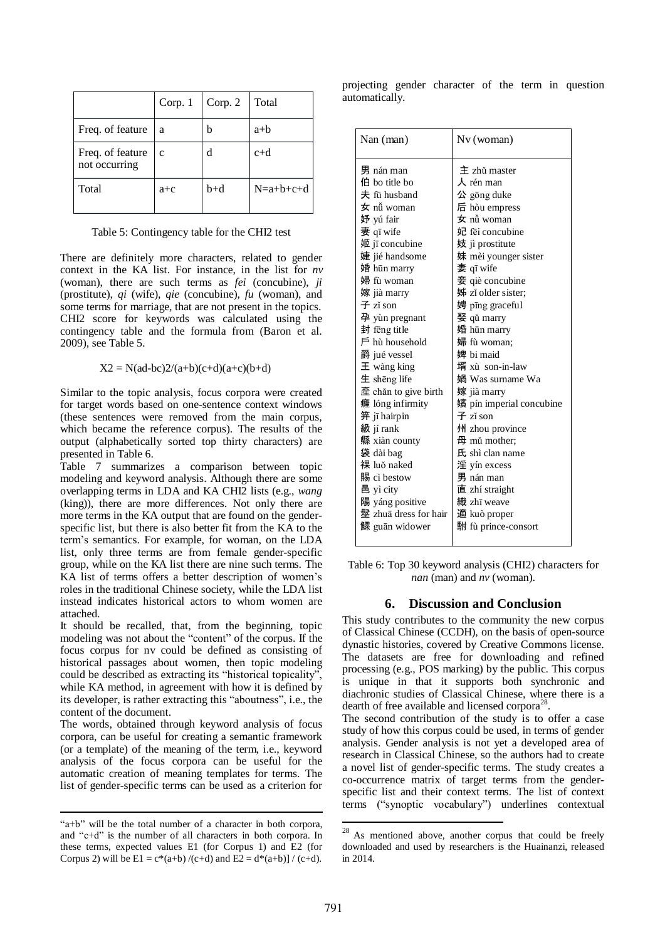|                                   | Corp. 1      | Corp. 2 | Total       |
|-----------------------------------|--------------|---------|-------------|
| Freq. of feature                  | a            | b       | $a+b$       |
| Freq. of feature<br>not occurring | $\mathbf{c}$ | d       | $c+d$       |
| Total                             | $a + c$      | $b+d$   | $N=a+b+c+d$ |

Table 5: Contingency table for the CHI2 test

There are definitely more characters, related to gender context in the KA list. For instance, in the list for *nv* (woman), there are such terms as *fei* (concubine), *ji* (prostitute), *qi* (wife), *qie* (concubine), *fu* (woman), and some terms for marriage, that are not present in the topics. CHI2 score for keywords was calculated using the contingency table and the formula from (Baron et al. 2009), see Table 5.

#### $X2 = N(ad-bc)2/(a+b)(c+d)(a+c)(b+d)$

Similar to the topic analysis, focus corpora were created for target words based on one-sentence context windows (these sentences were removed from the main corpus, which became the reference corpus). The results of the output (alphabetically sorted top thirty characters) are presented in Table 6.

Table 7 summarizes a comparison between topic modeling and keyword analysis. Although there are some overlapping terms in LDA and KA CHI2 lists (e.g., *wang* (king)), there are more differences. Not only there are more terms in the KA output that are found on the genderspecific list, but there is also better fit from the KA to the term's semantics. For example, for woman, on the LDA list, only three terms are from female gender-specific group, while on the KA list there are nine such terms. The KA list of terms offers a better description of women's roles in the traditional Chinese society, while the LDA list instead indicates historical actors to whom women are attached.

It should be recalled, that, from the beginning, topic modeling was not about the "content" of the corpus. If the focus corpus for nv could be defined as consisting of historical passages about women, then topic modeling could be described as extracting its "historical topicality", while KA method, in agreement with how it is defined by its developer, is rather extracting this "aboutness", i.e., the content of the document.

The words, obtained through keyword analysis of focus corpora, can be useful for creating a semantic framework (or a template) of the meaning of the term, i.e., keyword analysis of the focus corpora can be useful for the automatic creation of meaning templates for terms. The list of gender-specific terms can be used as a criterion for

-

projecting gender character of the term in question automatically.

Table 6: Top 30 keyword analysis (CHI2) characters for *nan* (man) and *nv* (woman).

# **6. Discussion and Conclusion**

This study contributes to the community the new corpus of Classical Chinese (CCDH), on the basis of open-source dynastic histories, covered by Creative Commons license. The datasets are free for downloading and refined processing (e.g., POS marking) by the public. This corpus is unique in that it supports both synchronic and diachronic studies of Classical Chinese, where there is a dearth of free available and licensed corpora<sup>28</sup>.

The second contribution of the study is to offer a case study of how this corpus could be used, in terms of gender analysis. Gender analysis is not yet a developed area of research in Classical Chinese, so the authors had to create a novel list of gender-specific terms. The study creates a co-occurrence matrix of target terms from the genderspecific list and their context terms. The list of context terms ("synoptic vocabulary") underlines contextual

-

<sup>&</sup>quot;a+b" will be the total number of a character in both corpora, and "c+d" is the number of all characters in both corpora. In these terms, expected values E1 (for Corpus 1) and E2 (for Corpus 2) will be  $E1 = c*(a+b)/(c+d)$  and  $E2 = d*(a+b)/ (c+d)$ .

<sup>&</sup>lt;sup>28</sup> As mentioned above, another corpus that could be freely downloaded and used by researchers is the Huainanzi, released in 2014.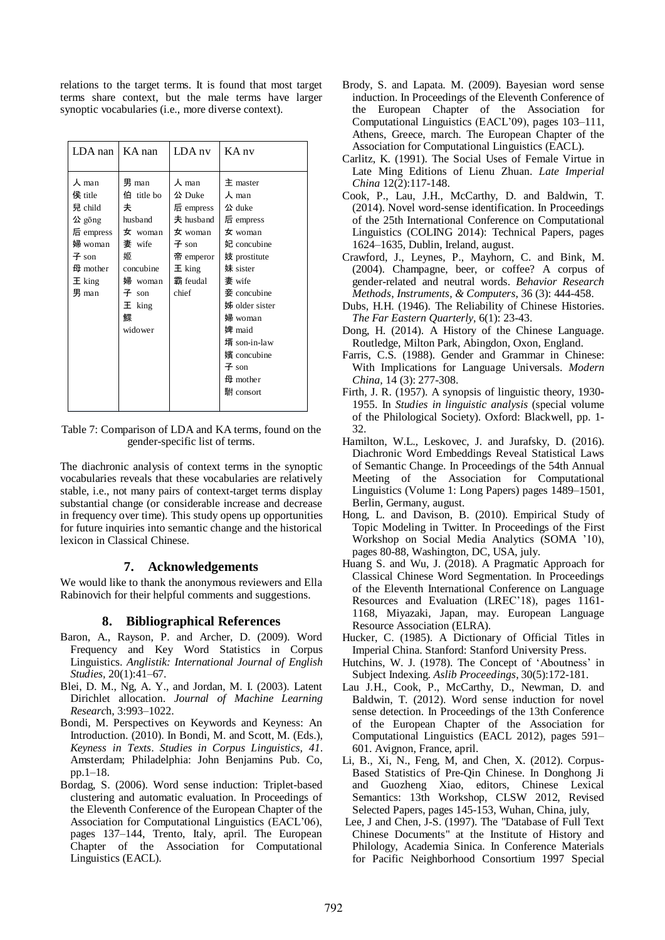relations to the target terms. It is found that most target terms share context, but the male terms have larger synoptic vocabularies (i.e., more diverse context).

| LDA nan                                                                                                     | KA nan                                                                                                                           | LDA nv                                                                                                              | KA nv                                                                                                                                                                                                                                                              |
|-------------------------------------------------------------------------------------------------------------|----------------------------------------------------------------------------------------------------------------------------------|---------------------------------------------------------------------------------------------------------------------|--------------------------------------------------------------------------------------------------------------------------------------------------------------------------------------------------------------------------------------------------------------------|
| 人 man<br>侯 title<br>兒 child<br>公 gōng<br>后 empress<br>婦 woman<br>$\pm$ son<br>母 mother<br>$E$ king<br>男 man | 男 man<br>伯 title bo<br>夫<br>husband<br>$\pm$ woman<br>妻 wife<br>姬<br>concubine<br>婦 woman<br>子 $son$<br>$E$ king<br>鳏<br>widower | 人 man<br>公 Duke<br>后 empress<br>$\pm$ husband<br>$\pm$ woman<br>子 son<br>帝 emperor<br>$E$ king<br>霸 feudal<br>chief | $\pm$ master<br>$\lambda$ man<br>公 duke<br>后 empress<br>$\frac{1}{2}$ woman<br>妃 concubine<br>妓 prostitute<br>妹 sister<br>妻 wife<br>$\equiv$ concubine<br>姊 older sister<br>婦 woman<br>婢 maid<br>壻 son-in-law<br>嬪 concubine<br>$\pm$ son<br>母 mother<br>駙 consort |

Table 7: Comparison of LDA and KA terms, found on the gender-specific list of terms.

The diachronic analysis of context terms in the synoptic vocabularies reveals that these vocabularies are relatively stable, i.e., not many pairs of context-target terms display substantial change (or considerable increase and decrease in frequency over time). This study opens up opportunities for future inquiries into semantic change and the historical lexicon in Classical Chinese.

# **7. Acknowledgements**

We would like to thank the anonymous reviewers and Ella Rabinovich for their helpful comments and suggestions.

# **8. Bibliographical References**

- Baron, A., Rayson, P. and Archer, D. (2009). Word Frequency and Key Word Statistics in Corpus Linguistics. *Anglistik: International Journal of English Studies,* 20(1):41–67.
- Blei, D. M., Ng, A. Y., and Jordan, M. I. (2003). Latent Dirichlet allocation. *Journal of Machine Learning Researc*h, 3:993–1022.
- Bondi, M. Perspectives on Keywords and Keyness: An Introduction. (2010). In Bondi, M. and Scott, M. (Eds.), *Keyness in Texts*. *Studies in Corpus Linguistics, 41*. Amsterdam; Philadelphia: John Benjamins Pub. Co, pp.1–18.
- Bordag, S. (2006). Word sense induction: Triplet-based clustering and automatic evaluation. In Proceedings of the Eleventh Conference of the European Chapter of the Association for Computational Linguistics (EACL'06), pages 137–144, Trento, Italy, april. The European Chapter of the Association for Computational Linguistics (EACL).
- Brody, S. and Lapata. M. (2009). Bayesian word sense induction. In Proceedings of the Eleventh Conference of the European Chapter of the Association for Computational Linguistics (EACL'09), pages 103–111, Athens, Greece, march. The European Chapter of the Association for Computational Linguistics (EACL).
- Carlitz, K. (1991). The Social Uses of Female Virtue in Late Ming Editions of Lienu Zhuan. *Late Imperial China* 12(2):117-148.
- Cook, P., Lau, J.H., McCarthy, D. and Baldwin, T. (2014). Novel word-sense identification. In Proceedings of the 25th International Conference on Computational Linguistics (COLING 2014): Technical Papers, pages 1624–1635, Dublin, Ireland, august.
- Crawford, J., Leynes, P., Mayhorn, C. and Bink, M. (2004). Champagne, beer, or coffee? A corpus of gender-related and neutral words. *Behavior Research Methods*, *Instruments, & Computers*, 36 (3): 444-458.
- Dubs, H.H. (1946). The Reliability of Chinese Histories. *The Far Eastern Quarterly,* 6(1): 23-43.
- Dong, H. (2014). A History of the Chinese Language. Routledge, Milton Park, Abingdon, Oxon, England.
- Farris, C.S. (1988). Gender and Grammar in Chinese: With Implications for Language Universals. *Modern China,* 14 (3): 277-308.
- Firth, J. R. (1957). A synopsis of linguistic theory, 1930- 1955. In *Studies in linguistic analysis* (special volume of the Philological Society). Oxford: Blackwell, pp. 1- 32.
- Hamilton, W.L., Leskovec, J. and Jurafsky, D. (2016). Diachronic Word Embeddings Reveal Statistical Laws of Semantic Change. In Proceedings of the 54th Annual Meeting of the Association for Computational Linguistics (Volume 1: Long Papers) pages 1489–1501, Berlin, Germany, august.
- Hong, L. and Davison, B. (2010). Empirical Study of Topic Modeling in Twitter. In Proceedings of the First Workshop on Social Media Analytics (SOMA '10), pages 80-88, Washington, DC, USA, july.
- Huang S. and Wu, J. (2018). A Pragmatic Approach for Classical Chinese Word Segmentation. In Proceedings of the Eleventh International Conference on Language Resources and Evaluation (LREC'18), pages 1161- 1168, Miyazaki, Japan, may. European Language Resource Association (ELRA).
- Hucker, C. (1985). A Dictionary of Official Titles in Imperial China. Stanford: Stanford University Press.
- Hutchins, W. J. (1978). The Concept of 'Aboutness' in Subject Indexing. *Aslib Proceedings*, 30(5):172-181.
- Lau J.H., Cook, P., McCarthy, D., Newman, D. and Baldwin, T. (2012). Word sense induction for novel sense detection. In Proceedings of the 13th Conference of the European Chapter of the Association for Computational Linguistics (EACL 2012), pages 591– 601. Avignon, France, april.
- Li, B., Xi, N., Feng, M, and Chen, X. (2012). Corpus-Based Statistics of Pre-Qin Chinese. In Donghong Ji and Guozheng Xiao, editors, Chinese Lexical Semantics: 13th Workshop, CLSW 2012, Revised Selected Papers, pages 145-153, Wuhan, China, july,
- Lee, J and Chen, J-S. (1997). The "Database of Full Text Chinese Documents" at the Institute of History and Philology, Academia Sinica. In Conference Materials for Pacific Neighborhood Consortium 1997 Special